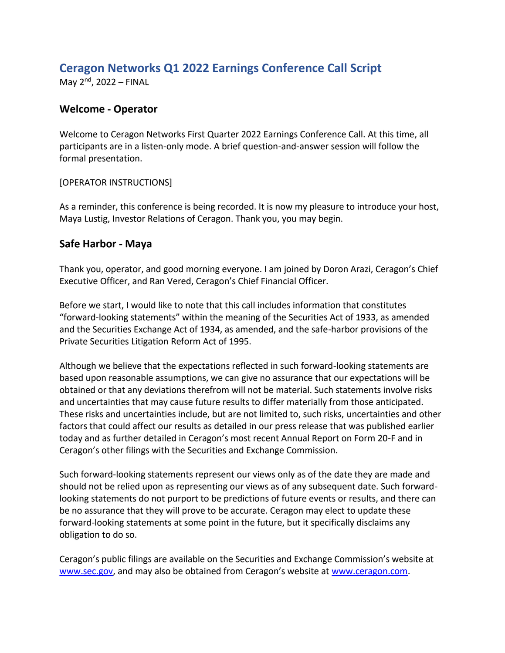# **Ceragon Networks Q1 2022 Earnings Conference Call Script**

May 2<sup>nd</sup>, 2022 – FINAL

#### **Welcome - Operator**

Welcome to Ceragon Networks First Quarter 2022 Earnings Conference Call. At this time, all participants are in a listen-only mode. A brief question-and-answer session will follow the formal presentation.

#### [OPERATOR INSTRUCTIONS]

As a reminder, this conference is being recorded. It is now my pleasure to introduce your host, Maya Lustig, Investor Relations of Ceragon. Thank you, you may begin.

#### **Safe Harbor - Maya**

Thank you, operator, and good morning everyone. I am joined by Doron Arazi, Ceragon's Chief Executive Officer, and Ran Vered, Ceragon's Chief Financial Officer.

Before we start, I would like to note that this call includes information that constitutes "forward-looking statements" within the meaning of the Securities Act of 1933, as amended and the Securities Exchange Act of 1934, as amended, and the safe-harbor provisions of the Private Securities Litigation Reform Act of 1995.

Although we believe that the expectations reflected in such forward-looking statements are based upon reasonable assumptions, we can give no assurance that our expectations will be obtained or that any deviations therefrom will not be material. Such statements involve risks and uncertainties that may cause future results to differ materially from those anticipated. These risks and uncertainties include, but are not limited to, such risks, uncertainties and other factors that could affect our results as detailed in our press release that was published earlier today and as further detailed in Ceragon's most recent Annual Report on Form 20-F and in Ceragon's other filings with the Securities and Exchange Commission.

Such forward-looking statements represent our views only as of the date they are made and should not be relied upon as representing our views as of any subsequent date. Such forwardlooking statements do not purport to be predictions of future events or results, and there can be no assurance that they will prove to be accurate. Ceragon may elect to update these forward-looking statements at some point in the future, but it specifically disclaims any obligation to do so.

Ceragon's public filings are available on the Securities and Exchange Commission's website at [www.sec.gov](http://www.sec.gov/), and may also be obtained from Ceragon's website at [www.ceragon.com.](http://www.ceragon.com/)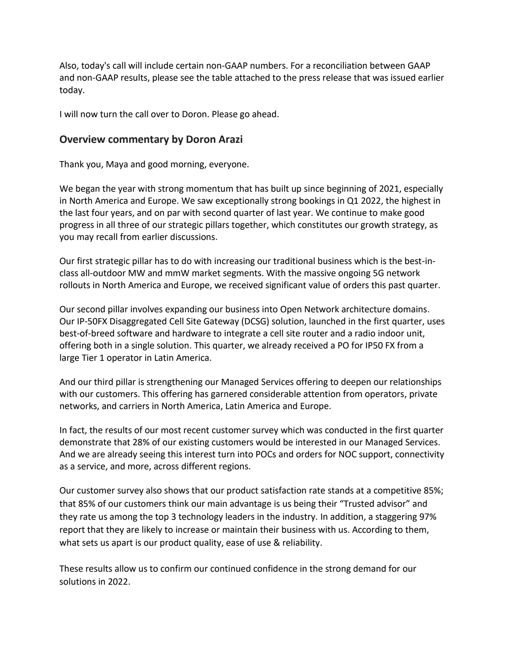Also, today's call will include certain non-GAAP numbers. For a reconciliation between GAAP and non-GAAP results, please see the table attached to the press release that was issued earlier today.

I will now turn the call over to Doron. Please go ahead.

#### **Overview commentary by Doron Arazi**

Thank you, Maya and good morning, everyone.

We began the year with strong momentum that has built up since beginning of 2021, especially in North America and Europe. We saw exceptionally strong bookings in Q1 2022, the highest in the last four years, and on par with second quarter of last year. We continue to make good progress in all three of our strategic pillars together, which constitutes our growth strategy, as you may recall from earlier discussions.

Our first strategic pillar has to do with increasing our traditional business which is the best-inclass all-outdoor MW and mmW market segments. With the massive ongoing 5G network rollouts in North America and Europe, we received significant value of orders this past quarter.

Our second pillar involves expanding our business into Open Network architecture domains. Our IP-50FX Disaggregated Cell Site Gateway (DCSG) solution, launched in the first quarter, uses best-of-breed software and hardware to integrate a cell site router and a radio indoor unit, offering both in a single solution. This quarter, we already received a PO for IP50 FX from a large Tier 1 operator in Latin America.

And our third pillar is strengthening our Managed Services offering to deepen our relationships with our customers. This offering has garnered considerable attention from operators, private networks, and carriers in North America, Latin America and Europe.

In fact, the results of our most recent customer survey which was conducted in the first quarter demonstrate that 28% of our existing customers would be interested in our Managed Services. And we are already seeing this interest turn into POCs and orders for NOC support, connectivity as a service, and more, across different regions.

Our customer survey also shows that our product satisfaction rate stands at a competitive 85%; that 85% of our customers think our main advantage is us being their "Trusted advisor" and they rate us among the top 3 technology leaders in the industry. In addition, a staggering 97% report that they are likely to increase or maintain their business with us. According to them, what sets us apart is our product quality, ease of use & reliability.

These results allow us to confirm our continued confidence in the strong demand for our solutions in 2022.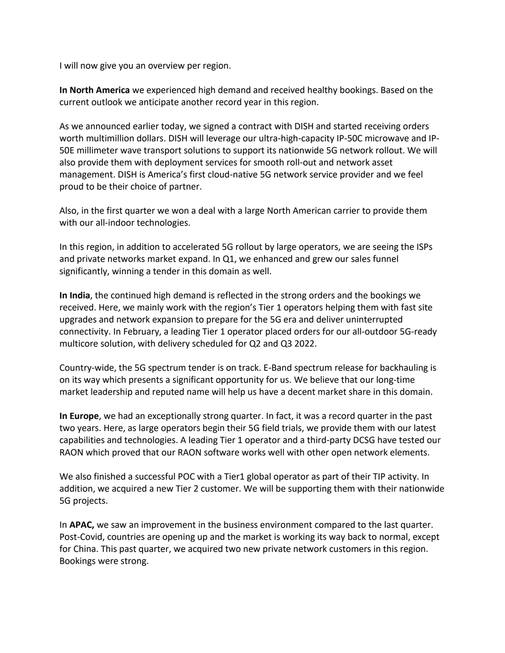I will now give you an overview per region.

**In North America** we experienced high demand and received healthy bookings. Based on the current outlook we anticipate another record year in this region.

As we announced earlier today, we signed a contract with DISH and started receiving orders worth multimillion dollars. DISH will leverage our ultra-high-capacity IP-50C microwave and IP-50E millimeter wave transport solutions to support its nationwide 5G network rollout. We will also provide them with deployment services for smooth roll-out and network asset management. DISH is America's first cloud-native 5G network service provider and we feel proud to be their choice of partner.

Also, in the first quarter we won a deal with a large North American carrier to provide them with our all-indoor technologies.

In this region, in addition to accelerated 5G rollout by large operators, we are seeing the ISPs and private networks market expand. In Q1, we enhanced and grew our sales funnel significantly, winning a tender in this domain as well.

**In India**, the continued high demand is reflected in the strong orders and the bookings we received. Here, we mainly work with the region's Tier 1 operators helping them with fast site upgrades and network expansion to prepare for the 5G era and deliver uninterrupted connectivity. In February, a leading Tier 1 operator placed orders for our all-outdoor 5G-ready multicore solution, with delivery scheduled for Q2 and Q3 2022.

Country-wide, the 5G spectrum tender is on track. E-Band spectrum release for backhauling is on its way which presents a significant opportunity for us. We believe that our long-time market leadership and reputed name will help us have a decent market share in this domain.

**In Europe**, we had an exceptionally strong quarter. In fact, it was a record quarter in the past two years. Here, as large operators begin their 5G field trials, we provide them with our latest capabilities and technologies. A leading Tier 1 operator and a third-party DCSG have tested our RAON which proved that our RAON software works well with other open network elements.

We also finished a successful POC with a Tier1 global operator as part of their TIP activity. In addition, we acquired a new Tier 2 customer. We will be supporting them with their nationwide 5G projects.

In **APAC,** we saw an improvement in the business environment compared to the last quarter. Post-Covid, countries are opening up and the market is working its way back to normal, except for China. This past quarter, we acquired two new private network customers in this region. Bookings were strong.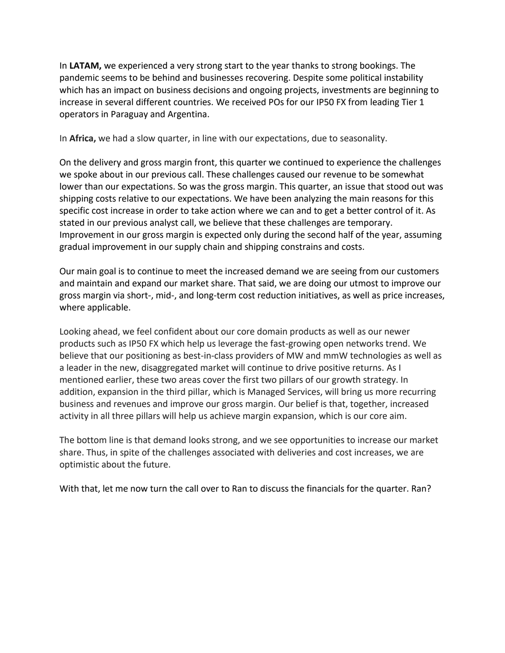In **LATAM,** we experienced a very strong start to the year thanks to strong bookings. The pandemic seems to be behind and businesses recovering. Despite some political instability which has an impact on business decisions and ongoing projects, investments are beginning to increase in several different countries. We received POs for our IP50 FX from leading Tier 1 operators in Paraguay and Argentina.

In **Africa,** we had a slow quarter, in line with our expectations, due to seasonality.

On the delivery and gross margin front, this quarter we continued to experience the challenges we spoke about in our previous call. These challenges caused our revenue to be somewhat lower than our expectations. So was the gross margin. This quarter, an issue that stood out was shipping costs relative to our expectations. We have been analyzing the main reasons for this specific cost increase in order to take action where we can and to get a better control of it. As stated in our previous analyst call, we believe that these challenges are temporary. Improvement in our gross margin is expected only during the second half of the year, assuming gradual improvement in our supply chain and shipping constrains and costs.

Our main goal is to continue to meet the increased demand we are seeing from our customers and maintain and expand our market share. That said, we are doing our utmost to improve our gross margin via short-, mid-, and long-term cost reduction initiatives, as well as price increases, where applicable.

Looking ahead, we feel confident about our core domain products as well as our newer products such as IP50 FX which help us leverage the fast-growing open networks trend. We believe that our positioning as best-in-class providers of MW and mmW technologies as well as a leader in the new, disaggregated market will continue to drive positive returns. As I mentioned earlier, these two areas cover the first two pillars of our growth strategy. In addition, expansion in the third pillar, which is Managed Services, will bring us more recurring business and revenues and improve our gross margin. Our belief is that, together, increased activity in all three pillars will help us achieve margin expansion, which is our core aim.

The bottom line is that demand looks strong, and we see opportunities to increase our market share. Thus, in spite of the challenges associated with deliveries and cost increases, we are optimistic about the future.

With that, let me now turn the call over to Ran to discuss the financials for the quarter. Ran?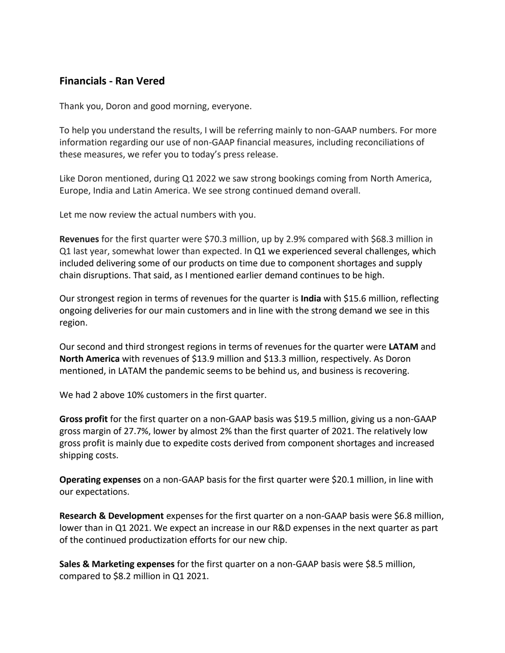### **Financials - Ran Vered**

Thank you, Doron and good morning, everyone.

To help you understand the results, I will be referring mainly to non-GAAP numbers. For more information regarding our use of non-GAAP financial measures, including reconciliations of these measures, we refer you to today's press release.

Like Doron mentioned, during Q1 2022 we saw strong bookings coming from North America, Europe, India and Latin America. We see strong continued demand overall.

Let me now review the actual numbers with you.

**Revenues** for the first quarter were \$70.3 million, up by 2.9% compared with \$68.3 million in Q1 last year, somewhat lower than expected. In Q1 we experienced several challenges, which included delivering some of our products on time due to component shortages and supply chain disruptions. That said, as I mentioned earlier demand continues to be high.

Our strongest region in terms of revenues for the quarter is **India** with \$15.6 million, reflecting ongoing deliveries for our main customers and in line with the strong demand we see in this region.

Our second and third strongest regions in terms of revenues for the quarter were **LATAM** and **North America** with revenues of \$13.9 million and \$13.3 million, respectively. As Doron mentioned, in LATAM the pandemic seems to be behind us, and business is recovering.

We had 2 above 10% customers in the first quarter.

**Gross profit** for the first quarter on a non-GAAP basis was \$19.5 million, giving us a non-GAAP gross margin of 27.7%, lower by almost 2% than the first quarter of 2021. The relatively low gross profit is mainly due to expedite costs derived from component shortages and increased shipping costs.

**Operating expenses** on a non-GAAP basis for the first quarter were \$20.1 million, in line with our expectations.

**Research & Development** expenses for the first quarter on a non-GAAP basis were \$6.8 million, lower than in Q1 2021. We expect an increase in our R&D expenses in the next quarter as part of the continued productization efforts for our new chip.

**Sales & Marketing expenses** for the first quarter on a non-GAAP basis were \$8.5 million, compared to \$8.2 million in Q1 2021.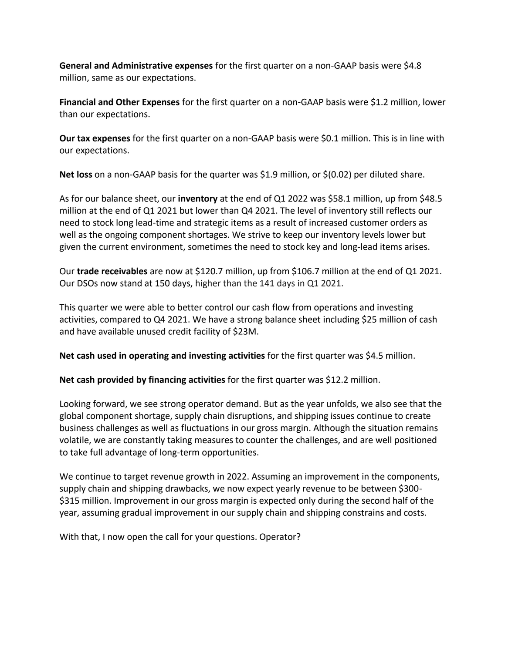**General and Administrative expenses** for the first quarter on a non-GAAP basis were \$4.8 million, same as our expectations.

**Financial and Other Expenses** for the first quarter on a non-GAAP basis were \$1.2 million, lower than our expectations.

**Our tax expenses** for the first quarter on a non-GAAP basis were \$0.1 million. This is in line with our expectations.

**Net loss** on a non-GAAP basis for the quarter was \$1.9 million, or \$(0.02) per diluted share.

As for our balance sheet, our **inventory** at the end of Q1 2022 was \$58.1 million, up from \$48.5 million at the end of Q1 2021 but lower than Q4 2021. The level of inventory still reflects our need to stock long lead-time and strategic items as a result of increased customer orders as well as the ongoing component shortages. We strive to keep our inventory levels lower but given the current environment, sometimes the need to stock key and long-lead items arises.

Our **trade receivables** are now at \$120.7 million, up from \$106.7 million at the end of Q1 2021. Our DSOs now stand at 150 days, higher than the 141 days in Q1 2021.

This quarter we were able to better control our cash flow from operations and investing activities, compared to Q4 2021. We have a strong balance sheet including \$25 million of cash and have available unused credit facility of \$23M.

**Net cash used in operating and investing activities** for the first quarter was \$4.5 million.

**Net cash provided by financing activities** for the first quarter was \$12.2 million.

Looking forward, we see strong operator demand. But as the year unfolds, we also see that the global component shortage, supply chain disruptions, and shipping issues continue to create business challenges as well as fluctuations in our gross margin. Although the situation remains volatile, we are constantly taking measures to counter the challenges, and are well positioned to take full advantage of long-term opportunities.

We continue to target revenue growth in 2022. Assuming an improvement in the components, supply chain and shipping drawbacks, we now expect yearly revenue to be between \$300- \$315 million. Improvement in our gross margin is expected only during the second half of the year, assuming gradual improvement in our supply chain and shipping constrains and costs.

With that, I now open the call for your questions. Operator?